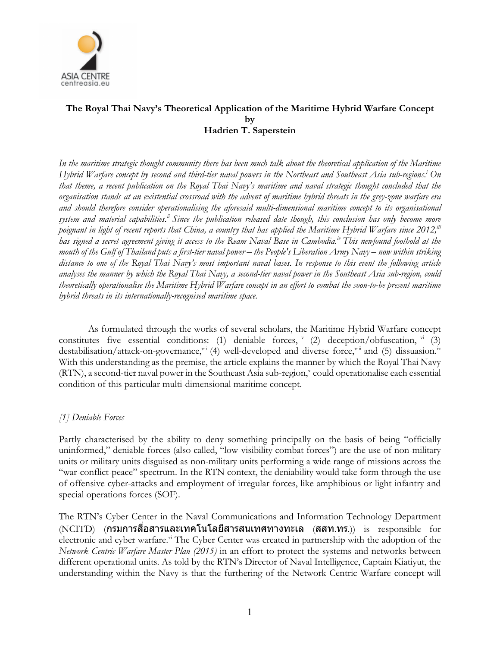

# **The Royal Thai Navy's Theoretical Application of the Maritime Hybrid Warfare Concept by Hadrien T. Saperstein**

*In the maritime strategic thought community there has been much talk about the theoretical application of the Maritime Hybrid Warfare concept by second and third-tier naval powers in the Northeast and Southeast Asia sub-regions. <sup>i</sup> On that theme, a recent publication on the Royal Thai Navy's maritime and naval strategic thought concluded that the organisation stands at an existential crossroad with the advent of maritime hybrid threats in the grey-zone warfare era and should therefore consider operationalising the aforesaid multi-dimensional maritime concept to its organisational system and material capabilities.ii Since the publication released date though, this conclusion has only become more poignant in light of recent reports that China, a country that has applied the Maritime Hybrid Warfare since 2012,iii has signed a secret agreement giving it access to the Ream Naval Base in Cambodia.iv This newfound foothold at the mouth of the Gulf of Thailand puts a first-tier naval power – the People's Liberation Army Navy – now within striking distance to one of the Royal Thai Navy's most important naval bases. In response to this event the following article analyses the manner by which the Royal Thai Navy, a second-tier naval power in the Southeast Asia sub-region, could theoretically operationalise the Maritime Hybrid Warfare concept in an effort to combat the soon-to-be present maritime hybrid threats in its internationally-recognised maritime space.*

As formulated through the works of several scholars, the Maritime Hybrid Warfare concept constitutes five essential conditions: (1) deniable forces,  $v$  (2) deception/obfuscation,  $v$ <sup>i</sup> (3) destabilisation/attack-on-governance,<sup>vii</sup> (4) well-developed and diverse force,<sup>viii</sup> and (5) dissuasion.<sup>ix</sup> With this understanding as the premise, the article explains the manner by which the Royal Thai Navy (RTN), a second-tier naval power in the Southeast Asia sub-region,<sup>x</sup> could operationalise each essential condition of this particular multi-dimensional maritime concept.

## *[1] Deniable Forces*

Partly characterised by the ability to deny something principally on the basis of being "officially uninformed," deniable forces (also called, "low-visibility combat forces") are the use of non-military units or military units disguised as non-military units performing a wide range of missions across the "war-conflict-peace" spectrum. In the RTN context, the deniability would take form through the use of offensive cyber-attacks and employment of irregular forces, like amphibious or light infantry and special operations forces (SOF).

The RTN's Cyber Center in the Naval Communications and Information Technology Department  $(NCITD)$   $($ กรมการสื่อสารและเทคโนโลยีสารสนเทศทางทะเล  $($ สสท.ทร. $))$  is responsible for electronic and cyber warfare.<sup>xi</sup> The Cyber Center was created in partnership with the adoption of the *Network Centric Warfare Master Plan (2015)* in an effort to protect the systems and networks between different operational units. As told by the RTN's Director of Naval Intelligence, Captain Kiatiyut, the understanding within the Navy is that the furthering of the Network Centric Warfare concept will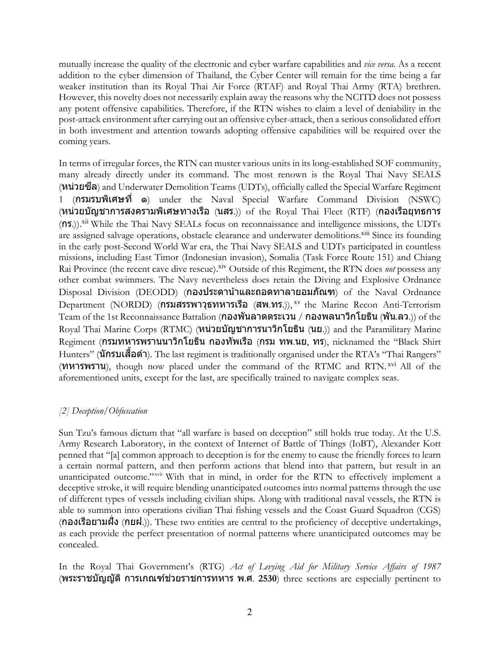mutually increase the quality of the electronic and cyber warfare capabilities and *vice versa*. As a recent addition to the cyber dimension of Thailand, the Cyber Center will remain for the time being a far weaker institution than its Royal Thai Air Force (RTAF) and Royal Thai Army (RTA) brethren. However, this novelty does not necessarily explain away the reasons why the NCITD does not possess any potent offensive capabilities. Therefore, if the RTN wishes to claim a level of deniability in the post-attack environment after carrying out an offensive cyber-attack, then a serious consolidated effort in both investment and attention towards adopting offensive capabilities will be required over the coming years.

In terms of irregular forces, the RTN can muster various units in its long-established SOF community, many already directly under its command. The most renown is the Royal Thai Navy SEALS (หน่วยซลี) and Underwater Demolition Teams (UDTs), officially called the Special Warfare Regiment 1 (กรมรบพิเศษที' ๑) under the Naval Special Warfare Command Division (NSWC) (หน่วยบัญชาการสงครามพิเศษทางเรือ (นสร.)) of the Royal Thai Fleet (RTF) (กองเรือยุทธการ (กร.)).xii While the Thai Navy SEALs focus on reconnaissance and intelligence missions, the UDTs are assigned salvage operations, obstacle clearance and underwater demolitions.<sup>xiii</sup> Since its founding in the early post-Second World War era, the Thai Navy SEALS and UDTs participated in countless missions, including East Timor (Indonesian invasion), Somalia (Task Force Route 151) and Chiang Rai Province (the recent cave dive rescue).<sup>xiv</sup> Outside of this Regiment, the RTN does *not* possess any other combat swimmers. The Navy nevertheless does retain the Diving and Explosive Ordnance Disposal Division (DEODD) (กองประดาน้าและถอดทาลายอมภัณฑ) of the Naval Ordnance Department (NORDD) (กรมสรรพาวุธทหารเรือ (สพ.ทร.)), xv the Marine Recon Anti-Terrorism Team of the 1st Reconnaissance Battalion (กองพันลาดตระเวน / กองพลนาวิกโยธิน (พัน.ลว.)) of the Royal Thai Marine Corps (RTMC) (หน่วยบัญชาการนาวิกโยธิน (นย.)) and the Paramilitary Marine Regiment (กรมทหารพรานนาวิกโยธิน กองทัพเรือ (กรม ทพ.นย, ทร), nicknamed the "Black Shirt Hunters" (**นักรบเสือดำ**). The last regiment is traditionally organised under the RTA's "Thai Rangers"  $(MN)$   $N$ <sup> $\sim$ </sup>  $N$ <sup> $\sim$ </sup>  $N$ <sup> $\sim$ </sup>  $N$ <sup> $\sim$ </sup>  $N$ <sup> $\sim$ </sup>  $N$ <sup> $\sim$ </sup>  $N$ <sup> $\sim$ </sup>  $N$  $\sim$   $N$  $\sim$   $N$  $\sim$   $N$  $\sim$   $N$  $\sim$   $N$  $\sim$   $N$  $\sim$   $N$  $\sim$   $N$  $\sim$   $N$  $\sim$   $N$  $\sim$   $N$  $\sim$   $N$  $\sim$   $N$  $\sim$   $N$  $\sim$   $N$  $\sim$   $N$  $\sim$   $N$  $\sim$  aforementioned units, except for the last, are specifically trained to navigate complex seas.

## *[2] Deception/Obfuscation*

Sun Tzu's famous dictum that "all warfare is based on deception" still holds true today. At the U.S. Army Research Laboratory, in the context of Internet of Battle of Things (IoBT), Alexander Kott penned that "[a] common approach to deception is for the enemy to cause the friendly forces to learn a certain normal pattern, and then perform actions that blend into that pattern, but result in an unanticipated outcome." With that in mind, in order for the RTN to effectively implement a deceptive stroke, it will require blending unanticipated outcomes into normal patterns through the use of different types of vessels including civilian ships. Along with traditional naval vessels, the RTN is able to summon into operations civilian Thai fishing vessels and the Coast Guard Squadron (CGS) (กองเรือยามฝั'ง (กยฝ.)). These two entities are central to the proficiency of deceptive undertakings, as each provide the perfect presentation of normal patterns where unanticipated outcomes may be concealed.

In the Royal Thai Government's (RTG) *Act of Levying Aid for Military Service Affairs of 1987* (พระราชบัญญัติการเกณฑช์ ว่ ยราชการทหาร พ.ศ. **2530**) three sections are especially pertinent to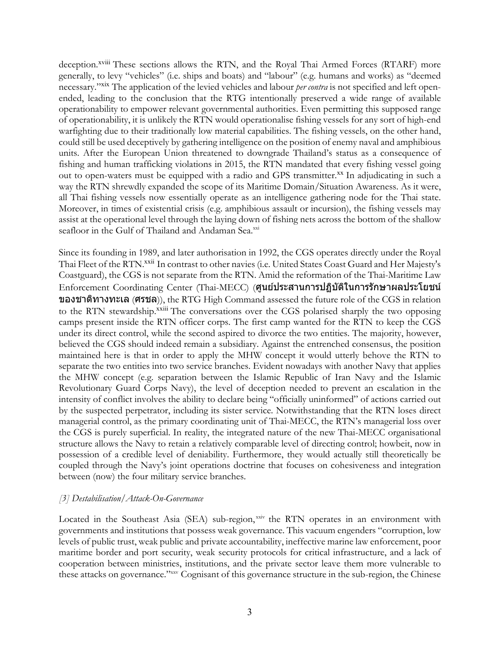deception.<sup>xviii</sup> These sections allows the RTN, and the Royal Thai Armed Forces (RTARF) more generally, to levy "vehicles" (i.e. ships and boats) and "labour" (e.g. humans and works) as "deemed necessary."xix The application of the levied vehicles and labour *per contra* is not specified and left openended, leading to the conclusion that the RTG intentionally preserved a wide range of available operationability to empower relevant governmental authorities. Even permitting this supposed range of operationability, it is unlikely the RTN would operationalise fishing vessels for any sort of high-end warfighting due to their traditionally low material capabilities. The fishing vessels, on the other hand, could still be used deceptively by gathering intelligence on the position of enemy naval and amphibious units. After the European Union threatened to downgrade Thailand's status as a consequence of fishing and human trafficking violations in 2015, the RTN mandated that every fishing vessel going out to open-waters must be equipped with a radio and GPS transmitter.<sup>xx</sup> In adjudicating in such a way the RTN shrewdly expanded the scope of its Maritime Domain/Situation Awareness. As it were, all Thai fishing vessels now essentially operate as an intelligence gathering node for the Thai state. Moreover, in times of existential crisis (e.g. amphibious assault or incursion), the fishing vessels may assist at the operational level through the laying down of fishing nets across the bottom of the shallow seafloor in the Gulf of Thailand and Andaman Sea.<sup>xxi</sup>

Since its founding in 1989, and later authorisation in 1992, the CGS operates directly under the Royal Thai Fleet of the RTN.<sup>xxii</sup> In contrast to other navies (i.e. United States Coast Guard and Her Majesty's Coastguard), the CGS is not separate from the RTN. Amid the reformation of the Thai-Maritime Law Enforcement Coordinating Center (Thai-MECC) (ศูนย์ประสานการปฏิบัติในการรักษาผลประโยชน์ ของชาติทางทะเล (ศรชล)), the RTG High Command assessed the future role of the CGS in relation to the RTN stewardship.<sup>xxiii</sup> The conversations over the CGS polarised sharply the two opposing camps present inside the RTN officer corps. The first camp wanted for the RTN to keep the CGS under its direct control, while the second aspired to divorce the two entities. The majority, however, believed the CGS should indeed remain a subsidiary. Against the entrenched consensus, the position maintained here is that in order to apply the MHW concept it would utterly behove the RTN to separate the two entities into two service branches. Evident nowadays with another Navy that applies the MHW concept (e.g. separation between the Islamic Republic of Iran Navy and the Islamic Revolutionary Guard Corps Navy), the level of deception needed to prevent an escalation in the intensity of conflict involves the ability to declare being "officially uninformed" of actions carried out by the suspected perpetrator, including its sister service. Notwithstanding that the RTN loses direct managerial control, as the primary coordinating unit of Thai-MECC, the RTN's managerial loss over the CGS is purely superficial. In reality, the integrated nature of the new Thai-MECC organisational structure allows the Navy to retain a relatively comparable level of directing control; howbeit, now in possession of a credible level of deniability. Furthermore, they would actually still theoretically be coupled through the Navy's joint operations doctrine that focuses on cohesiveness and integration between (now) the four military service branches.

### *[3] Destabilisation/Attack-On-Governance*

Located in the Southeast Asia (SEA) sub-region, xxiv the RTN operates in an environment with governments and institutions that possess weak governance. This vacuum engenders "corruption, low levels of public trust, weak public and private accountability, ineffective marine law enforcement, poor maritime border and port security, weak security protocols for critical infrastructure, and a lack of cooperation between ministries, institutions, and the private sector leave them more vulnerable to these attacks on governance."xxv Cognisant of this governance structure in the sub-region, the Chinese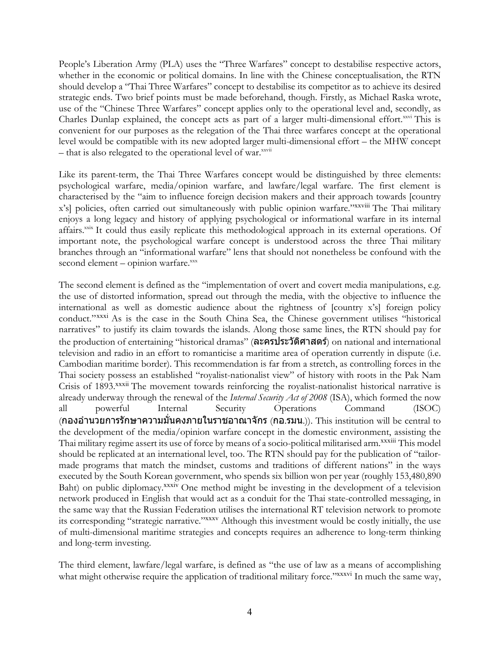People's Liberation Army (PLA) uses the "Three Warfares" concept to destabilise respective actors, whether in the economic or political domains. In line with the Chinese conceptualisation, the RTN should develop a "Thai Three Warfares" concept to destabilise its competitor as to achieve its desired strategic ends. Two brief points must be made beforehand, though. Firstly, as Michael Raska wrote, use of the "Chinese Three Warfares" concept applies only to the operational level and, secondly, as Charles Dunlap explained, the concept acts as part of a larger multi-dimensional effort.<sup>xxv</sup>i This is convenient for our purposes as the relegation of the Thai three warfares concept at the operational level would be compatible with its new adopted larger multi-dimensional effort – the MHW concept  $-$  that is also relegated to the operational level of war. $\frac{x}{x}$ 

Like its parent-term, the Thai Three Warfares concept would be distinguished by three elements: psychological warfare, media/opinion warfare, and lawfare/legal warfare. The first element is characterised by the "aim to influence foreign decision makers and their approach towards [country x's] policies, often carried out simultaneously with public opinion warfare."xxviii The Thai military enjoys a long legacy and history of applying psychological or informational warfare in its internal affairs.xxix It could thus easily replicate this methodological approach in its external operations. Of important note, the psychological warfare concept is understood across the three Thai military branches through an "informational warfare" lens that should not nonetheless be confound with the second element - opinion warfare.xxx

The second element is defined as the "implementation of overt and covert media manipulations, e.g. the use of distorted information, spread out through the media, with the objective to influence the international as well as domestic audience about the rightness of [country x's] foreign policy conduct."xxxi As is the case in the South China Sea, the Chinese government utilises "historical narratives" to justify its claim towards the islands. Along those same lines, the RTN should pay for the production of entertaining "historical dramas" (ละครประวัติศาสตร์) on national and international television and radio in an effort to romanticise a maritime area of operation currently in dispute (i.e. Cambodian maritime border). This recommendation is far from a stretch, as controlling forces in the Thai society possess an established "royalist-nationalist view" of history with roots in the Pak Nam Crisis of 1893.<sup>xxxii</sup> The movement towards reinforcing the royalist-nationalist historical narrative is already underway through the renewal of the *Internal Security Act of 2008* (ISA), which formed the now all powerful Internal Security Operations Command (ISOC)  $($ กองอำนวยการรักษาความมันคงภายในราชอาณาจักร  $($ กอ.รมน. $)$ ). This institution will be central to the development of the media/opinion warfare concept in the domestic environment, assisting the Thai military regime assert its use of force by means of a socio-political militarised arm.<sup>xxxiii</sup> This model should be replicated at an international level, too. The RTN should pay for the publication of "tailormade programs that match the mindset, customs and traditions of different nations" in the ways executed by the South Korean government, who spends six billion won per year (roughly 153,480,890 Baht) on public diplomacy.<sup>xxxiv</sup> One method might be investing in the development of a television network produced in English that would act as a conduit for the Thai state-controlled messaging, in the same way that the Russian Federation utilises the international RT television network to promote its corresponding "strategic narrative."xxxv Although this investment would be costly initially, the use of multi-dimensional maritime strategies and concepts requires an adherence to long-term thinking and long-term investing.

The third element, lawfare/legal warfare, is defined as "the use of law as a means of accomplishing what might otherwise require the application of traditional military force."xxxvi In much the same way,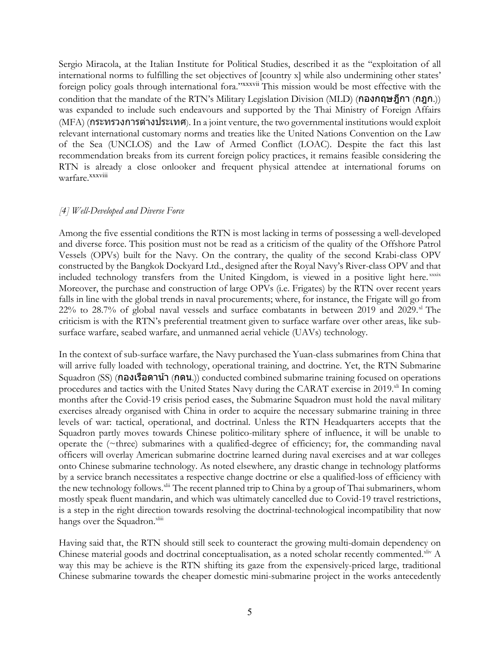Sergio Miracola, at the Italian Institute for Political Studies, described it as the "exploitation of all international norms to fulfilling the set objectives of [country x] while also undermining other states' foreign policy goals through international fora."xxxvii This mission would be most effective with the condition that the mandate of the RTN's Military Legislation Division (MLD) (กองกฤษฎีกา (กฎก.)) was expanded to include such endeavours and supported by the Thai Ministry of Foreign Affairs (MFA) (กระทรวงการต่างประเทศ). In a joint venture, the two governmental institutions would exploit relevant international customary norms and treaties like the United Nations Convention on the Law of the Sea (UNCLOS) and the Law of Armed Conflict (LOAC). Despite the fact this last recommendation breaks from its current foreign policy practices, it remains feasible considering the RTN is already a close onlooker and frequent physical attendee at international forums on warfare. xxxviii

### *[4] Well-Developed and Diverse Force*

Among the five essential conditions the RTN is most lacking in terms of possessing a well-developed and diverse force. This position must not be read as a criticism of the quality of the Offshore Patrol Vessels (OPVs) built for the Navy. On the contrary, the quality of the second Krabi-class OPV constructed by the Bangkok Dockyard Ltd., designed after the Royal Navy's River-class OPV and that included technology transfers from the United Kingdom, is viewed in a positive light here.<sup>xxxix</sup> Moreover, the purchase and construction of large OPVs (i.e. Frigates) by the RTN over recent years falls in line with the global trends in naval procurements; where, for instance, the Frigate will go from  $22\%$  to  $28.7\%$  of global naval vessels and surface combatants in between  $2019$  and  $2029$ .<sup>xl</sup> The criticism is with the RTN's preferential treatment given to surface warfare over other areas, like subsurface warfare, seabed warfare, and unmanned aerial vehicle (UAVs) technology.

In the context of sub-surface warfare, the Navy purchased the Yuan-class submarines from China that will arrive fully loaded with technology, operational training, and doctrine. Yet, the RTN Submarine Squadron (SS) (กองเรือดาน้า (กดน.)) conducted combined submarine training focused on operations procedures and tactics with the United States Navy during the CARAT exercise in 2019.<sup>xli</sup> In coming months after the Covid-19 crisis period eases, the Submarine Squadron must hold the naval military exercises already organised with China in order to acquire the necessary submarine training in three levels of war: tactical, operational, and doctrinal. Unless the RTN Headquarters accepts that the Squadron partly moves towards Chinese politico-military sphere of influence, it will be unable to operate the  $(\sim$ three) submarines with a qualified-degree of efficiency; for, the commanding naval officers will overlay American submarine doctrine learned during naval exercises and at war colleges onto Chinese submarine technology. As noted elsewhere, any drastic change in technology platforms by a service branch necessitates a respective change doctrine or else a qualified-loss of efficiency with the new technology follows.<sup>xlii</sup> The recent planned trip to China by a group of Thai submariners, whom mostly speak fluent mandarin, and which was ultimately cancelled due to Covid-19 travel restrictions, is a step in the right direction towards resolving the doctrinal-technological incompatibility that now hangs over the Squadron.<sup>xliii</sup>

Having said that, the RTN should still seek to counteract the growing multi-domain dependency on Chinese material goods and doctrinal conceptualisation, as a noted scholar recently commented.<sup>xliv</sup> A way this may be achieve is the RTN shifting its gaze from the expensively-priced large, traditional Chinese submarine towards the cheaper domestic mini-submarine project in the works antecedently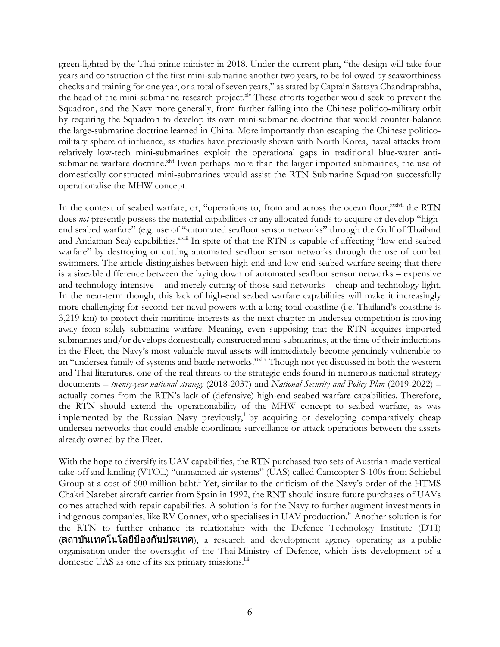green-lighted by the Thai prime minister in 2018. Under the current plan, "the design will take four years and construction of the first mini-submarine another two years, to be followed by seaworthiness checks and training for one year, or a total of seven years," as stated by Captain Sattaya Chandraprabha, the head of the mini-submarine research project.<sup>xlv</sup> These efforts together would seek to prevent the Squadron, and the Navy more generally, from further falling into the Chinese politico-military orbit by requiring the Squadron to develop its own mini-submarine doctrine that would counter-balance the large-submarine doctrine learned in China. More importantly than escaping the Chinese politicomilitary sphere of influence, as studies have previously shown with North Korea, naval attacks from relatively low-tech mini-submarines exploit the operational gaps in traditional blue-water antisubmarine warfare doctrine.xlvi Even perhaps more than the larger imported submarines, the use of domestically constructed mini-submarines would assist the RTN Submarine Squadron successfully operationalise the MHW concept.

In the context of seabed warfare, or, "operations to, from and across the ocean floor,"xlvii the RTN does *not* presently possess the material capabilities or any allocated funds to acquire or develop "highend seabed warfare" (e.g. use of "automated seafloor sensor networks" through the Gulf of Thailand and Andaman Sea) capabilities. XIViii In spite of that the RTN is capable of affecting "low-end seabed warfare" by destroying or cutting automated seafloor sensor networks through the use of combat swimmers. The article distinguishes between high-end and low-end seabed warfare seeing that there is a sizeable difference between the laying down of automated seafloor sensor networks – expensive and technology-intensive – and merely cutting of those said networks – cheap and technology-light. In the near-term though, this lack of high-end seabed warfare capabilities will make it increasingly more challenging for second-tier naval powers with a long total coastline (i.e. Thailand's coastline is 3,219 km) to protect their maritime interests as the next chapter in undersea competition is moving away from solely submarine warfare. Meaning, even supposing that the RTN acquires imported submarines and/or develops domestically constructed mini-submarines, at the time of their inductions in the Fleet, the Navy's most valuable naval assets will immediately become genuinely vulnerable to an "undersea family of systems and battle networks."xlix Though not yet discussed in both the western and Thai literatures, one of the real threats to the strategic ends found in numerous national strategy documents – *twenty-year national strategy* (2018-2037) and *National Security and Policy Plan* (2019-2022) – actually comes from the RTN's lack of (defensive) high-end seabed warfare capabilities. Therefore, the RTN should extend the operationability of the MHW concept to seabed warfare, as was implemented by the Russian Navy previously, by acquiring or developing comparatively cheap undersea networks that could enable coordinate surveillance or attack operations between the assets already owned by the Fleet.

With the hope to diversify its UAV capabilities, the RTN purchased two sets of Austrian-made vertical take-off and landing (VTOL) "unmanned air systems" (UAS) called Camcopter S-100s from Schiebel Group at a cost of 600 million baht.<sup>Ii</sup> Yet, similar to the criticism of the Navy's order of the HTMS Chakri Narebet aircraft carrier from Spain in 1992, the RNT should insure future purchases of UAVs comes attached with repair capabilities. A solution is for the Navy to further augment investments in indigenous companies, like RV Connex, who specialises in UAV production.<sup>Iii</sup> Another solution is for the RTN to further enhance its relationship with the Defence Technology Institute (DTI) (สถาบันเทคโนโลยีป้องกันประเทศ), a research and development agency operating as a public organisation under the oversight of the Thai Ministry of Defence, which lists development of a domestic UAS as one of its six primary missions.<sup>liii</sup>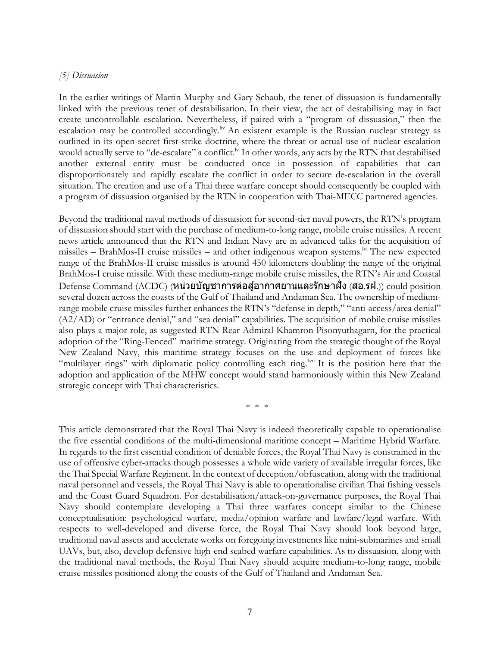#### *[5] Dissuasion*

In the earlier writings of Martin Murphy and Gary Schaub, the tenet of dissuasion is fundamentally linked with the previous tenet of destabilisation. In their view, the act of destabilising may in fact create uncontrollable escalation. Nevertheless, if paired with a "program of dissuasion," then the escalation may be controlled accordingly.<sup>liv</sup> An existent example is the Russian nuclear strategy as outlined in its open-secret first-strike doctrine, where the threat or actual use of nuclear escalation would actually serve to "de-escalate" a conflict.<sup>1v</sup> In other words, any acts by the RTN that destabilised another external entity must be conducted once in possession of capabilities that can disproportionately and rapidly escalate the conflict in order to secure de-escalation in the overall situation. The creation and use of a Thai three warfare concept should consequently be coupled with a program of dissuasion organised by the RTN in cooperation with Thai-MECC partnered agencies.

Beyond the traditional naval methods of dissuasion for second-tier naval powers, the RTN's program of dissuasion should start with the purchase of medium-to-long range, mobile cruise missiles. A recent news article announced that the RTN and Indian Navy are in advanced talks for the acquisition of missiles – BrahMos-II cruise missiles – and other indigenous weapon systems.<sup> $\nu$ i</sup> The new expected range of the BrahMos-II cruise missiles is around 450 kilometers doubling the range of the original BrahMos-I cruise missile. With these medium-range mobile cruise missiles, the RTN's Air and Coastal  $\rm{Defense}\ \rm{Command}\ (\rm{ACDC})$   $($ หน่วยบัญชาการต่อสู้อากาศยานและรักษาฝั่ง (สอ.รฝ. $\rangle$ )  $\rm{could}\ \rm{position}$ several dozen across the coasts of the Gulf of Thailand and Andaman Sea. The ownership of mediumrange mobile cruise missiles further enhances the RTN's "defense in depth," "anti-access/area denial"  $(A2/AD)$  or "entrance denial," and "sea denial" capabilities. The acquisition of mobile cruise missiles also plays a major role, as suggested RTN Rear Admiral Khamron Pisonyuthagarn, for the practical adoption of the "Ring-Fenced" maritime strategy. Originating from the strategic thought of the Royal New Zealand Navy, this maritime strategy focuses on the use and deployment of forces like "multilayer rings" with diplomatic policy controlling each ring.<sup>Ivii</sup> It is the position here that the adoption and application of the MHW concept would stand harmoniously within this New Zealand strategic concept with Thai characteristics.

\* \* \*

This article demonstrated that the Royal Thai Navy is indeed theoretically capable to operationalise the five essential conditions of the multi-dimensional maritime concept – Maritime Hybrid Warfare. In regards to the first essential condition of deniable forces, the Royal Thai Navy is constrained in the use of offensive cyber-attacks though possesses a whole wide variety of available irregular forces, like the Thai Special Warfare Regiment. In the context of deception/obfuscation, along with the traditional naval personnel and vessels, the Royal Thai Navy is able to operationalise civilian Thai fishing vessels and the Coast Guard Squadron. For destabilisation/attack-on-governance purposes, the Royal Thai Navy should contemplate developing a Thai three warfares concept similar to the Chinese conceptualisation: psychological warfare, media/opinion warfare and lawfare/legal warfare. With respects to well-developed and diverse force, the Royal Thai Navy should look beyond large, traditional naval assets and accelerate works on foregoing investments like mini-submarines and small UAVs, but, also, develop defensive high-end seabed warfare capabilities. As to dissuasion, along with the traditional naval methods, the Royal Thai Navy should acquire medium-to-long range, mobile cruise missiles positioned along the coasts of the Gulf of Thailand and Andaman Sea.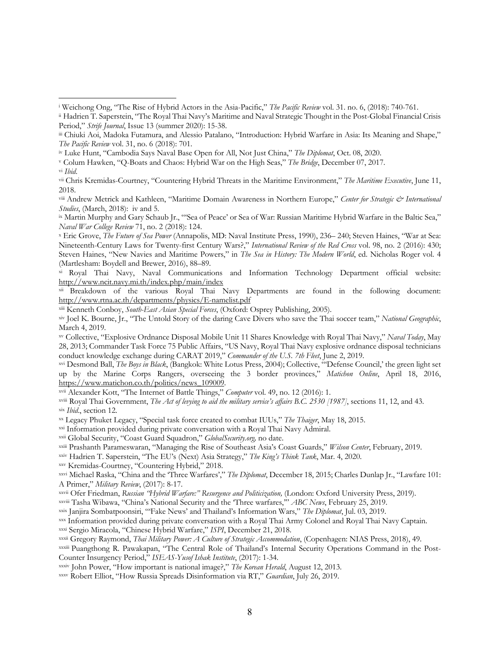<sup>v</sup> Colum Hawken, "Q-Boats and Chaos: Hybrid War on the High Seas," *The Bridge*, December 07, 2017.

vi *Ibid*.

 $\overline{a}$ 

xii Breakdown of the various Royal Thai Navy Departments are found in the following document: http://www.rtna.ac.th/departments/physics/E-namelist.pdf

xiii Kenneth Conboy, *South-East Asian Special Forces*, (Oxford: Osprey Publishing, 2005).

xx Legacy Phuket Legacy, "Special task force created to combat IUUs," *The Thaiger*, May 18, 2015.

xxi Information provided during private conversation with a Royal Thai Navy Admiral.

xxii Global Security, "Coast Guard Squadron," *GlobalSecurity.org,* no date.

xxiii Prashanth Parameswaran, "Managing the Rise of Southeast Asia's Coast Guards," *Wilson Center*, February, 2019.

xxv Kremidas-Courtney, "Countering Hybrid," 2018.

xxviii Tasha Wibawa, "China's National Security and the 'Three warfares,'" *ABC News*, February 25, 2019.

xxix Janjira Sombatpoonsiri, "'Fake News' and Thailand's Information Wars," *The Diplomat*, Jul. 03, 2019.

- xxx Information provided during private conversation with a Royal Thai Army Colonel and Royal Thai Navy Captain. xxxi Sergio Miracola, "Chinese Hybrid Warfare," *ISPI*, December 21, 2018.
- xxxii Gregory Raymond, *Thai Military Power: A Culture of Strategic Accommodation*, (Copenhagen: NIAS Press, 2018), 49.

<sup>i</sup> Weichong Ong, "The Rise of Hybrid Actors in the Asia-Pacific," *The Pacific Review* vol. 31. no. 6, (2018): 740-761.

ii Hadrien T. Saperstein, "The Royal Thai Navy's Maritime and Naval Strategic Thought in the Post-Global Financial Crisis Period," *Strife Journal*, Issue 13 (summer 2020): 15-38.

iii Chiuki Aoi, Madoka Futamura, and Alessio Patalano, "Introduction: Hybrid Warfare in Asia: Its Meaning and Shape," *The Pacific Review* vol. 31, no. 6 (2018): 701.

iv Luke Hunt, "Cambodia Says Naval Base Open for All, Not Just China," *The Diplomat*, Oct. 08, 2020.

vii Chris Kremidas-Courtney, "Countering Hybrid Threats in the Maritime Environment," *The Maritime Executive*, June 11, 2018.

viii Andrew Metrick and Kathleen, "Maritime Domain Awareness in Northern Europe," *Center for Strategic & International Studies*, (March, 2018): iv and 5.

ix Martin Murphy and Gary Schaub Jr., "'Sea of Peace' or Sea of War: Russian Maritime Hybrid Warfare in the Baltic Sea," *Naval War College Review* 71, no. 2 (2018): 124.

<sup>x</sup> Eric Grove, *The Future of Sea Power* (Annapolis, MD: Naval Institute Press, 1990), 236– 240; Steven Haines, "War at Sea: Nineteenth-Century Laws for Twenty-first Century Wars?," *International Review of the Red Cross* vol. 98, no. 2 (2016): 430; Steven Haines, "New Navies and Maritime Powers," in *The Sea in History: The Modern World*, ed. Nicholas Roger vol. 4 (Martlesham: Boydell and Brewer, 2016), 88–89.

xi Royal Thai Navy, Naval Communications and Information Technology Department official website: http://www.ncit.navy.mi.th/index.php/main/index

xiv Joel K. Bourne, Jr., "The Untold Story of the daring Cave Divers who save the Thai soccer team," *National Geographic*, March 4, 2019.

xv Collective, "Explosive Ordnance Disposal Mobile Unit 11 Shares Knowledge with Royal Thai Navy," *Naval Today*, May 28, 2013; Commander Task Force 75 Public Affairs, "US Navy, Royal Thai Navy explosive ordnance disposal technicians conduct knowledge exchange during CARAT 2019," *Commander of the U.S. 7th Fleet*, June 2, 2019.

xvi Desmond Ball, *The Boys in Black*, (Bangkok: White Lotus Press, 2004); Collective, "'Defense Council,' the green light set up by the Marine Corps Rangers, overseeing the 3 border provinces," *Matichon Online*, April 18, 2016, https://www.matichon.co.th/politics/news\_109009.

xvii Alexander Kott, "The Internet of Battle Things," *Computer* vol. 49, no. 12 (2016): 1.

xviii Royal Thai Government, *The Act of levying to aid the military service's affairs B.C. 2530 [1987]*, sections 11, 12, and 43. xix *Ibid*., section 12.

xxiv Hadrien T. Saperstein, "The EU's (Next) Asia Strategy," *The King's Think Tank*, Mar. 4, 2020.

xxvi Michael Raska, "China and the 'Three Warfares'," *The Diplomat*, December 18, 2015; Charles Dunlap Jr., "Lawfare 101: A Primer," *Military Review*, (2017): 8-17.

xxvii Ofer Friedman, *Russian "Hybrid Warfare:" Resurgence and Politicization,* (London: Oxford University Press, 2019).

xxxiii Puangthong R. Pawakapan, "The Central Role of Thailand's Internal Security Operations Command in the Post-Counter Insurgency Period," *ISEAS-Yusof Ishak Institute*, (2017): 1-34.

xxxiv John Power, "How important is national image?," *The Korean Herald*, August 12, 2013.

xxxv Robert Elliot, "How Russia Spreads Disinformation via RT," *Guardian*, July 26, 2019.